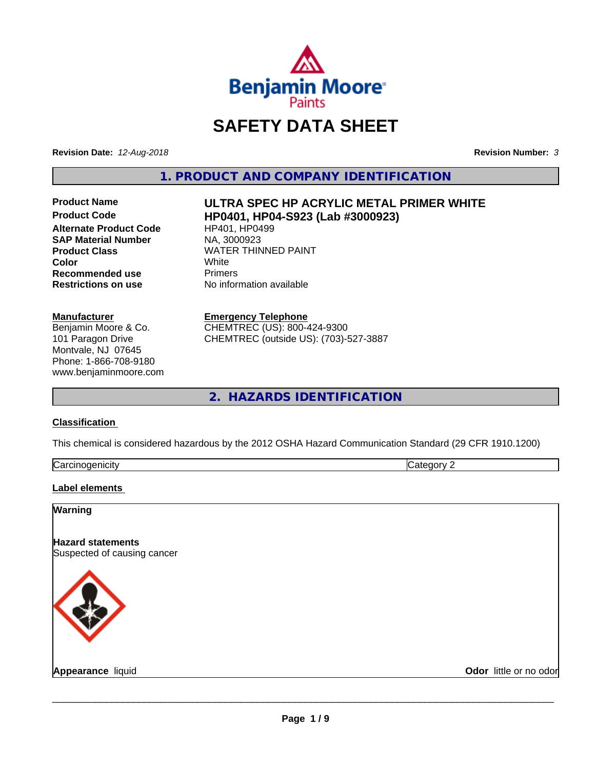

# **SAFETY DATA SHEET**

**Revision Date:** *12-Aug-2018* **Revision Number:** *3*

**1. PRODUCT AND COMPANY IDENTIFICATION**

**Alternate Product Code HP401, HP04**<br> **SAP Material Number** NA, 3000923 **SAP Material Number Recommended use** Primers **Restrictions on use** No information available

#### **Manufacturer**

Benjamin Moore & Co. 101 Paragon Drive Montvale, NJ 07645 Phone: 1-866-708-9180 www.benjaminmoore.com

# Product Name *ULTRA SPEC HP ACRYLIC METAL PRIMER WHITE*<br>Product Code **READ FOR HPO401 HPO4-S923 (Lab #3000923) Product Code HP0401, HP04-S923 (Lab #3000923)**

**Product Class** WATER THINNED PAINT<br> **Color** White **Color** White

## **Emergency Telephone**

CHEMTREC (US): 800-424-9300 CHEMTREC (outside US): (703)-527-3887

**2. HAZARDS IDENTIFICATION**

## **Classification**

This chemical is considered hazardous by the 2012 OSHA Hazard Communication Standard (29 CFR 1910.1200)

| Card<br>$\cdots$<br>шан | ---- |
|-------------------------|------|
|                         |      |

#### **Label elements**

#### **Warning**

**Hazard statements** Suspected of causing cancer



**Appearance** liquid **Odor** little or no odor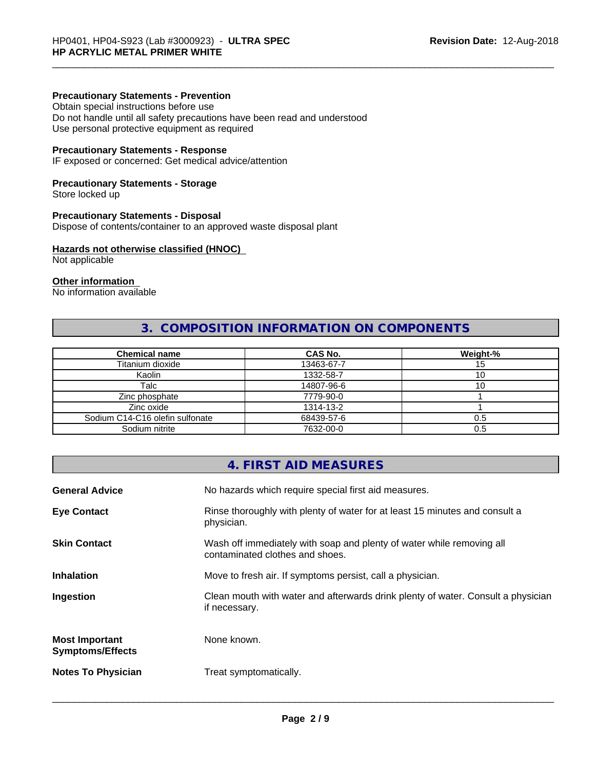### **Precautionary Statements - Prevention**

Obtain special instructions before use Do not handle until all safety precautions have been read and understood Use personal protective equipment as required

#### **Precautionary Statements - Response**

IF exposed or concerned: Get medical advice/attention

#### **Precautionary Statements - Storage**

Store locked up

#### **Precautionary Statements - Disposal**

Dispose of contents/container to an approved waste disposal plant

#### **Hazards not otherwise classified (HNOC)**

Not applicable

## **Other information**

No information available

## **3. COMPOSITION INFORMATION ON COMPONENTS**

| <b>Chemical name</b>            | <b>CAS No.</b> | Weight-% |
|---------------------------------|----------------|----------|
| Titanium dioxide                | 13463-67-7     | 15       |
| Kaolin                          | 1332-58-7      | υ        |
| Talc                            | 14807-96-6     | ιU       |
| Zinc phosphate                  | 7779-90-0      |          |
| Zinc oxide                      | 1314-13-2      |          |
| Sodium C14-C16 olefin sulfonate | 68439-57-6     | 0.5      |
| Sodium nitrite                  | 7632-00-0      | 0.5      |

|                                                  | 4. FIRST AID MEASURES                                                                                    |
|--------------------------------------------------|----------------------------------------------------------------------------------------------------------|
| <b>General Advice</b>                            | No hazards which require special first aid measures.                                                     |
| <b>Eye Contact</b>                               | Rinse thoroughly with plenty of water for at least 15 minutes and consult a<br>physician.                |
| Skin Contact                                     | Wash off immediately with soap and plenty of water while removing all<br>contaminated clothes and shoes. |
| Inhalation                                       | Move to fresh air. If symptoms persist, call a physician.                                                |
| Ingestion                                        | Clean mouth with water and afterwards drink plenty of water. Consult a physician<br>if necessary.        |
| <b>Most Important</b><br><b>Symptoms/Effects</b> | None known.                                                                                              |
| <b>Notes To Physician</b>                        | Treat symptomatically.                                                                                   |
|                                                  |                                                                                                          |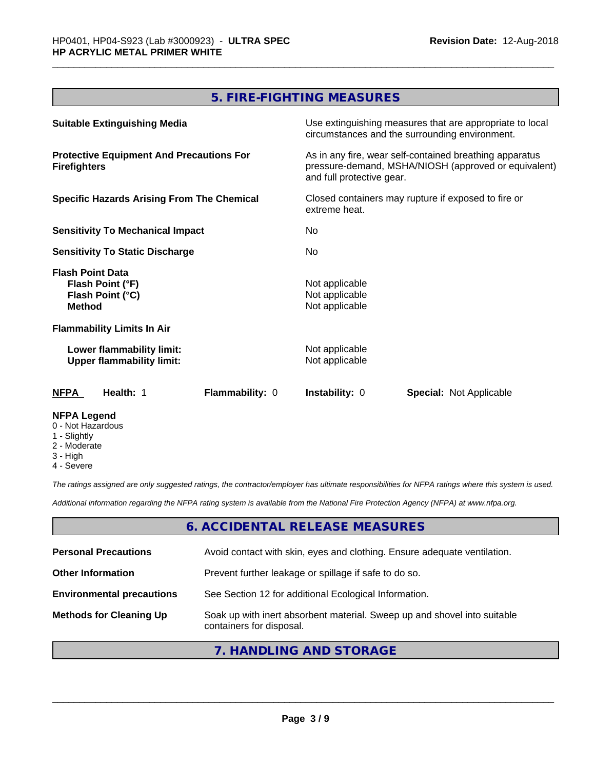## **5. FIRE-FIGHTING MEASURES**

| <b>Suitable Extinguishing Media</b>                                              | Use extinguishing measures that are appropriate to local<br>circumstances and the surrounding environment.                                   |
|----------------------------------------------------------------------------------|----------------------------------------------------------------------------------------------------------------------------------------------|
| <b>Protective Equipment And Precautions For</b><br><b>Firefighters</b>           | As in any fire, wear self-contained breathing apparatus<br>pressure-demand, MSHA/NIOSH (approved or equivalent)<br>and full protective gear. |
| <b>Specific Hazards Arising From The Chemical</b>                                | Closed containers may rupture if exposed to fire or<br>extreme heat.                                                                         |
| <b>Sensitivity To Mechanical Impact</b>                                          | No.                                                                                                                                          |
| <b>Sensitivity To Static Discharge</b>                                           | No.                                                                                                                                          |
| <b>Flash Point Data</b><br>Flash Point (°F)<br>Flash Point (°C)<br><b>Method</b> | Not applicable<br>Not applicable<br>Not applicable                                                                                           |
| <b>Flammability Limits In Air</b>                                                |                                                                                                                                              |
| Lower flammability limit:<br><b>Upper flammability limit:</b>                    | Not applicable<br>Not applicable                                                                                                             |
| <b>Flammability: 0</b><br>NFPA<br>Health: 1                                      | <b>Instability: 0</b><br><b>Special: Not Applicable</b>                                                                                      |
| <b>NFPA Legend</b><br>0 - Not Hazardous<br>1 - Slightly                          |                                                                                                                                              |

- 2 Moderate
- 3 High
- 4 Severe

*The ratings assigned are only suggested ratings, the contractor/employer has ultimate responsibilities for NFPA ratings where this system is used.*

*Additional information regarding the NFPA rating system is available from the National Fire Protection Agency (NFPA) at www.nfpa.org.*

## **6. ACCIDENTAL RELEASE MEASURES**

| <b>Personal Precautions</b>      | Avoid contact with skin, eyes and clothing. Ensure adequate ventilation.                             |
|----------------------------------|------------------------------------------------------------------------------------------------------|
| <b>Other Information</b>         | Prevent further leakage or spillage if safe to do so.                                                |
| <b>Environmental precautions</b> | See Section 12 for additional Ecological Information.                                                |
| <b>Methods for Cleaning Up</b>   | Soak up with inert absorbent material. Sweep up and shovel into suitable<br>containers for disposal. |

## **7. HANDLING AND STORAGE**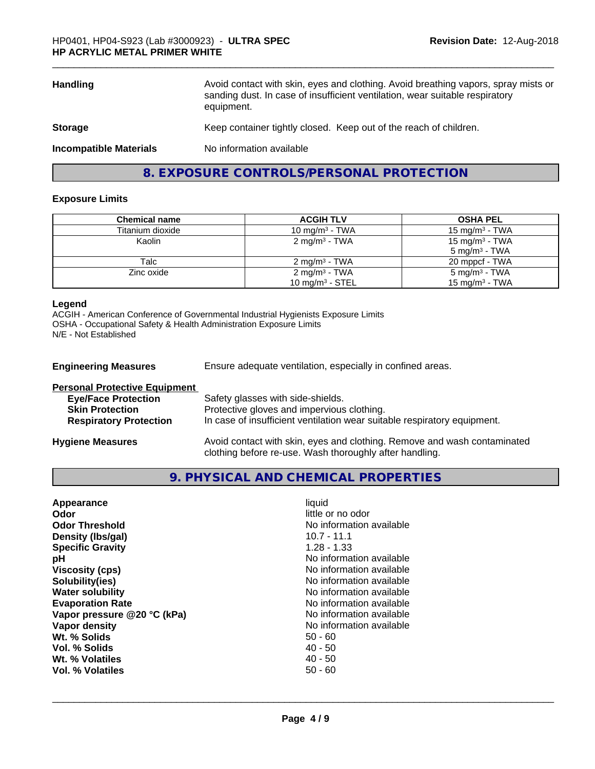| <b>Handling</b>               | Avoid contact with skin, eyes and clothing. Avoid breathing vapors, spray mists or<br>sanding dust. In case of insufficient ventilation, wear suitable respiratory<br>equipment. |
|-------------------------------|----------------------------------------------------------------------------------------------------------------------------------------------------------------------------------|
| <b>Storage</b>                | Keep container tightly closed. Keep out of the reach of children.                                                                                                                |
| <b>Incompatible Materials</b> | No information available                                                                                                                                                         |
|                               |                                                                                                                                                                                  |

**8. EXPOSURE CONTROLS/PERSONAL PROTECTION**

## **Exposure Limits**

| Chemical name    | <b>ACGIH TLV</b>          | <b>OSHA PEL</b>                                        |
|------------------|---------------------------|--------------------------------------------------------|
| Titanium dioxide | 10 mg/m $3$ - TWA         | $15 \text{ mg/m}^3$ - TWA                              |
| Kaolin           | 2 mg/m <sup>3</sup> - TWA | 15 mg/m <sup>3</sup> - TWA<br>$5 \text{ mg/m}^3$ - TWA |
| Talc             | $2 \text{ ma/m}^3$ - TWA  | 20 mppcf - TWA                                         |
| Zinc oxide       | 2 mg/m <sup>3</sup> - TWA | 5 mg/m <sup>3</sup> - TWA                              |
|                  | 10 mg/m $3$ - STEL        | 15 mg/m <sup>3</sup> - TWA                             |

### **Legend**

ACGIH - American Conference of Governmental Industrial Hygienists Exposure Limits OSHA - Occupational Safety & Health Administration Exposure Limits N/E - Not Established

| <b>Engineering Measures</b>          | Ensure adequate ventilation, especially in confined areas.                                                                          |
|--------------------------------------|-------------------------------------------------------------------------------------------------------------------------------------|
| <b>Personal Protective Equipment</b> |                                                                                                                                     |
| <b>Eye/Face Protection</b>           | Safety glasses with side-shields.                                                                                                   |
| <b>Skin Protection</b>               | Protective gloves and impervious clothing.                                                                                          |
| <b>Respiratory Protection</b>        | In case of insufficient ventilation wear suitable respiratory equipment.                                                            |
| <b>Hygiene Measures</b>              | Avoid contact with skin, eyes and clothing. Remove and wash contaminated<br>clothing before re-use. Wash thoroughly after handling. |

**9. PHYSICAL AND CHEMICAL PROPERTIES**

| No information available<br>Vapor density<br>Wt. % Solids<br>$50 - 60$<br>$40 - 50$<br>Vol. % Solids<br>$40 - 50$<br>Wt. % Volatiles<br>$50 - 60$<br>Vol. % Volatiles | <b>Specific Gravity</b><br>рH<br><b>Viscosity (cps)</b><br>Solubility(ies)<br><b>Water solubility</b><br><b>Evaporation Rate</b><br>Vapor pressure @20 °C (kPa) | $1.28 - 1.33$<br>No information available<br>No information available<br>No information available<br>No information available<br>No information available<br>No information available |
|-----------------------------------------------------------------------------------------------------------------------------------------------------------------------|-----------------------------------------------------------------------------------------------------------------------------------------------------------------|---------------------------------------------------------------------------------------------------------------------------------------------------------------------------------------|
|-----------------------------------------------------------------------------------------------------------------------------------------------------------------------|-----------------------------------------------------------------------------------------------------------------------------------------------------------------|---------------------------------------------------------------------------------------------------------------------------------------------------------------------------------------|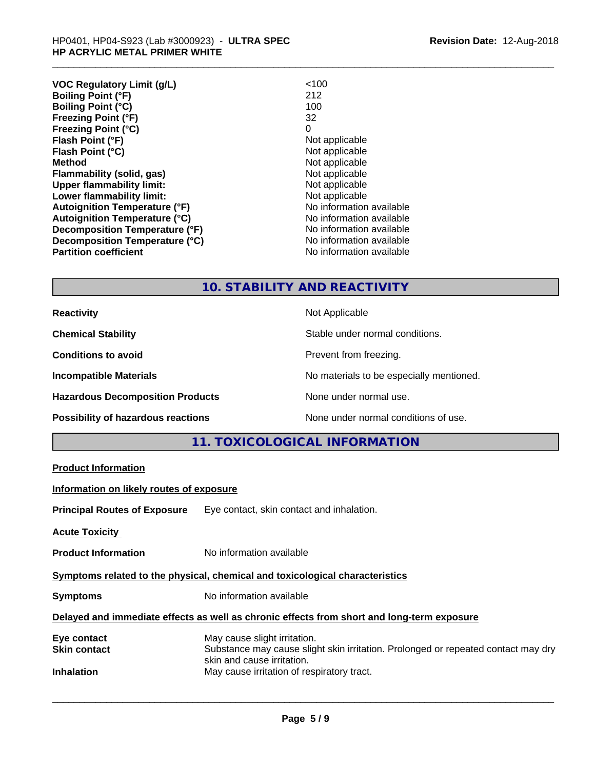| <b>VOC Regulatory Limit (g/L)</b>    | < 100                    |
|--------------------------------------|--------------------------|
| <b>Boiling Point (°F)</b>            | 212                      |
| <b>Boiling Point (°C)</b>            | 100                      |
| <b>Freezing Point (°F)</b>           | 32                       |
| <b>Freezing Point (°C)</b>           | 0                        |
| Flash Point (°F)                     | Not applicable           |
| Flash Point (°C)                     | Not applicable           |
| <b>Method</b>                        | Not applicable           |
| Flammability (solid, gas)            | Not applicable           |
| <b>Upper flammability limit:</b>     | Not applicable           |
| Lower flammability limit:            | Not applicable           |
| <b>Autoignition Temperature (°F)</b> | No information available |
| <b>Autoignition Temperature (°C)</b> | No information available |
| Decomposition Temperature (°F)       | No information available |
| Decomposition Temperature (°C)       | No information available |
| <b>Partition coefficient</b>         | No information available |

## **10. STABILITY AND REACTIVITY**

| <b>Reactivity</b>                       | Not Applicable                           |
|-----------------------------------------|------------------------------------------|
| <b>Chemical Stability</b>               | Stable under normal conditions.          |
| <b>Conditions to avoid</b>              | Prevent from freezing.                   |
| <b>Incompatible Materials</b>           | No materials to be especially mentioned. |
| <b>Hazardous Decomposition Products</b> | None under normal use.                   |
| Possibility of hazardous reactions      | None under normal conditions of use.     |

## **11. TOXICOLOGICAL INFORMATION**

|                                          | I I. I UAIUULUUIUAL IIII UNIIATIUII                                                                             |
|------------------------------------------|-----------------------------------------------------------------------------------------------------------------|
| <b>Product Information</b>               |                                                                                                                 |
| Information on likely routes of exposure |                                                                                                                 |
|                                          | <b>Principal Routes of Exposure</b> Eye contact, skin contact and inhalation.                                   |
| <b>Acute Toxicity</b>                    |                                                                                                                 |
| <b>Product Information</b>               | No information available                                                                                        |
|                                          | Symptoms related to the physical, chemical and toxicological characteristics                                    |
| <b>Symptoms</b>                          | No information available                                                                                        |
|                                          | Delayed and immediate effects as well as chronic effects from short and long-term exposure                      |
| Eye contact                              | May cause slight irritation.                                                                                    |
| <b>Skin contact</b>                      | Substance may cause slight skin irritation. Prolonged or repeated contact may dry<br>skin and cause irritation. |
| <b>Inhalation</b>                        | May cause irritation of respiratory tract.                                                                      |
|                                          |                                                                                                                 |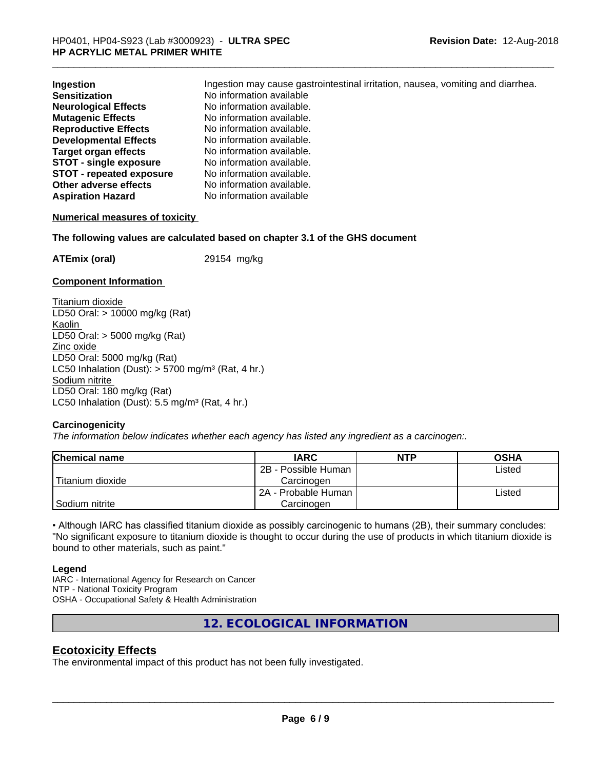| Ingestion                       | Ingestion may cause gastrointestinal irritation, nausea, vomiting and diarrhea. |
|---------------------------------|---------------------------------------------------------------------------------|
| <b>Sensitization</b>            | No information available                                                        |
| <b>Neurological Effects</b>     | No information available.                                                       |
| <b>Mutagenic Effects</b>        | No information available.                                                       |
| <b>Reproductive Effects</b>     | No information available.                                                       |
| <b>Developmental Effects</b>    | No information available.                                                       |
| <b>Target organ effects</b>     | No information available.                                                       |
| <b>STOT - single exposure</b>   | No information available.                                                       |
| <b>STOT - repeated exposure</b> | No information available.                                                       |
| Other adverse effects           | No information available.                                                       |
| <b>Aspiration Hazard</b>        | No information available                                                        |

#### **Numerical measures of toxicity**

**The following values are calculated based on chapter 3.1 of the GHS document**

**ATEmix (oral)** 29154 mg/kg

#### **Component Information**

Titanium dioxide LD50 Oral: > 10000 mg/kg (Rat) Kaolin LD50 Oral: > 5000 mg/kg (Rat) Zinc oxide LD50 Oral: 5000 mg/kg (Rat) LC50 Inhalation (Dust):  $> 5700$  mg/m<sup>3</sup> (Rat, 4 hr.) Sodium nitrite LD50 Oral: 180 mg/kg (Rat) LC50 Inhalation (Dust):  $5.5$  mg/m<sup>3</sup> (Rat, 4 hr.)

#### **Carcinogenicity**

*The information below indicateswhether each agency has listed any ingredient as a carcinogen:.*

| <b>Chemical name</b> | <b>IARC</b>           | <b>NTP</b> | <b>OSHA</b> |  |
|----------------------|-----------------------|------------|-------------|--|
|                      | 2B - Possible Human   |            | Listed      |  |
| Titanium dioxide     | Carcinoɑen            |            |             |  |
|                      | l 2A - Probable Human |            | Listed      |  |
| Sodium nitrite       | Carcinogen            |            |             |  |

• Although IARC has classified titanium dioxide as possibly carcinogenic to humans (2B), their summary concludes: "No significant exposure to titanium dioxide is thought to occur during the use of products in which titanium dioxide is bound to other materials, such as paint."

#### **Legend**

IARC - International Agency for Research on Cancer NTP - National Toxicity Program OSHA - Occupational Safety & Health Administration

**12. ECOLOGICAL INFORMATION**

## **Ecotoxicity Effects**

The environmental impact of this product has not been fully investigated.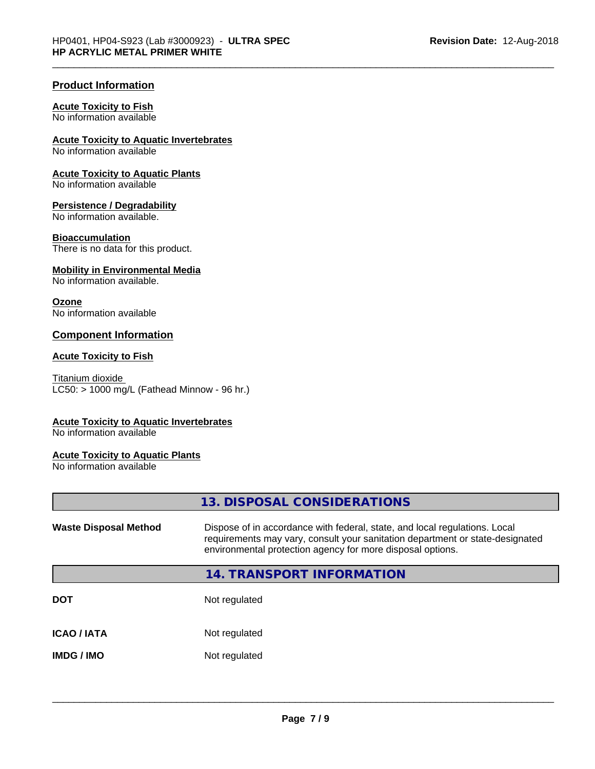## **Product Information**

#### **Acute Toxicity to Fish**

No information available

## **Acute Toxicity to Aquatic Invertebrates**

No information available

### **Acute Toxicity to Aquatic Plants**

No information available

#### **Persistence / Degradability**

No information available.

#### **Bioaccumulation**

There is no data for this product.

### **Mobility in Environmental Media**

No information available.

#### **Ozone**

No information available

## **Component Information**

### **Acute Toxicity to Fish**

Titanium dioxide  $LC50:$  > 1000 mg/L (Fathead Minnow - 96 hr.)

#### **Acute Toxicity to Aquatic Invertebrates**

No information available

## **Acute Toxicity to Aquatic Plants**

No information available

|                              | 13. DISPOSAL CONSIDERATIONS                                                                                                                                                                                               |
|------------------------------|---------------------------------------------------------------------------------------------------------------------------------------------------------------------------------------------------------------------------|
| <b>Waste Disposal Method</b> | Dispose of in accordance with federal, state, and local regulations. Local<br>requirements may vary, consult your sanitation department or state-designated<br>environmental protection agency for more disposal options. |
|                              | <b>14. TRANSPORT INFORMATION</b>                                                                                                                                                                                          |
| <b>DOT</b>                   | Not regulated                                                                                                                                                                                                             |
| <b>ICAO/IATA</b>             | Not regulated                                                                                                                                                                                                             |
| <b>IMDG / IMO</b>            | Not regulated                                                                                                                                                                                                             |
|                              |                                                                                                                                                                                                                           |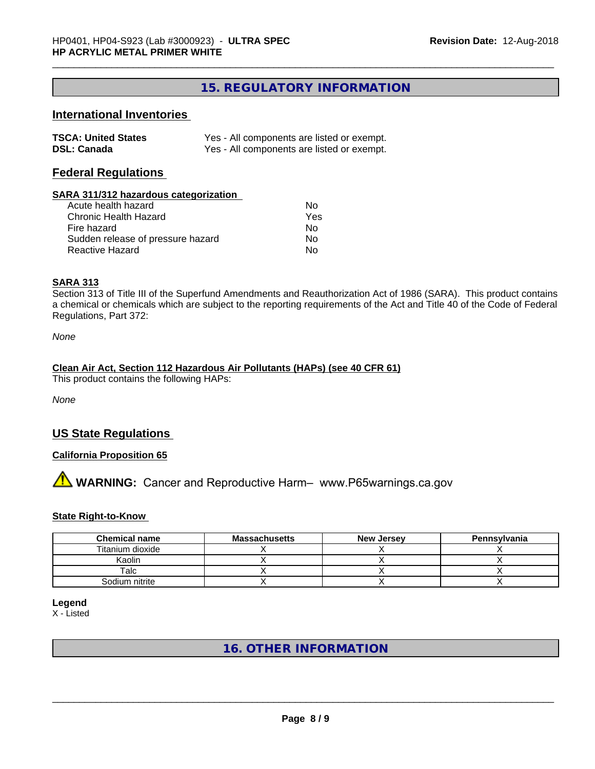## **15. REGULATORY INFORMATION**

## **International Inventories**

| <b>TSCA: United States</b> | Yes - All components are listed or exempt. |
|----------------------------|--------------------------------------------|
| <b>DSL: Canada</b>         | Yes - All components are listed or exempt. |

## **Federal Regulations**

#### **SARA 311/312 hazardous categorization**

| Acute health hazard               | Nο  |
|-----------------------------------|-----|
| Chronic Health Hazard             | Yes |
| Fire hazard                       | Nο  |
| Sudden release of pressure hazard | Nο  |
| Reactive Hazard                   | N٥  |

## **SARA 313**

Section 313 of Title III of the Superfund Amendments and Reauthorization Act of 1986 (SARA). This product contains a chemical or chemicals which are subject to the reporting requirements of the Act and Title 40 of the Code of Federal Regulations, Part 372:

*None*

#### **Clean Air Act,Section 112 Hazardous Air Pollutants (HAPs) (see 40 CFR 61)**

This product contains the following HAPs:

*None*

## **US State Regulations**

## **California Proposition 65**

# **AVIMARNING:** Cancer and Reproductive Harm– www.P65warnings.ca.gov

#### **State Right-to-Know**

| <b>Chemical name</b> | <b>Massachusetts</b> | <b>New Jersey</b> | Pennsylvania |
|----------------------|----------------------|-------------------|--------------|
| Titanium dioxide     |                      |                   |              |
| Kaolin               |                      |                   |              |
| Talc                 |                      |                   |              |
| Sodium nitrite       |                      |                   |              |

**Legend**

X - Listed

## **16. OTHER INFORMATION**